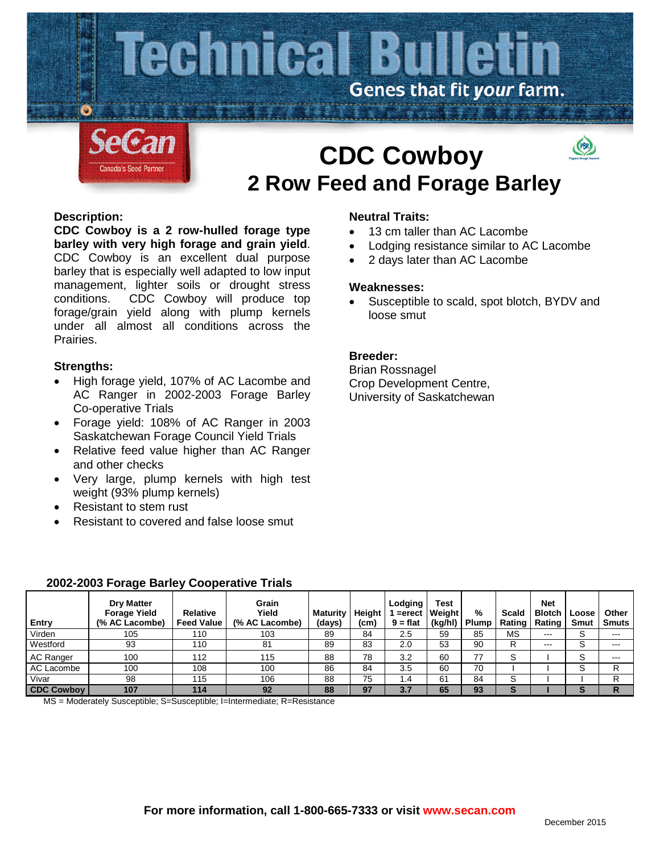

# **CDC Cowboy 2 Row Feed and Forage Barley**



**CDC Cowboy is a 2 row-hulled forage type barley with very high forage and grain yield**. CDC Cowboy is an excellent dual purpose barley that is especially well adapted to low input management, lighter soils or drought stress conditions. CDC Cowboy will produce top forage/grain yield along with plump kernels under all almost all conditions across the Prairies.

## **Strengths:**

- High forage yield, 107% of AC Lacombe and AC Ranger in 2002-2003 Forage Barley Co-operative Trials
- Forage yield: 108% of AC Ranger in 2003 Saskatchewan Forage Council Yield Trials
- Relative feed value higher than AC Ranger and other checks
- Very large, plump kernels with high test weight (93% plump kernels)
- Resistant to stem rust
- Resistant to covered and false loose smut

# **Neutral Traits:**

- 13 cm taller than AC Lacombe
- Lodging resistance similar to AC Lacombe
- 2 days later than AC Lacombe

#### **Weaknesses:**

Susceptible to scald, spot blotch, BYDV and loose smut

# **Breeder:**

Brian Rossnagel Crop Development Centre, University of Saskatchewan

| Entry             | <b>Dry Matter</b><br><b>Forage Yield</b><br>(% AC Lacombe) | Relative<br><b>Feed Value</b> | Grain<br>Yield<br>(% AC Lacombe) | <b>Maturity</b><br>(days) | Height<br>(cm) | Lodging<br>$9 = flat$ | Test<br>$=$ erect Weight<br>(kg/hl) | %<br><b>Plump</b> | Scald<br>Rating | <b>Net</b><br><b>Blotch</b><br><b>Rating</b> | Loose<br><b>Smut</b> | Other<br><b>Smuts</b> |
|-------------------|------------------------------------------------------------|-------------------------------|----------------------------------|---------------------------|----------------|-----------------------|-------------------------------------|-------------------|-----------------|----------------------------------------------|----------------------|-----------------------|
| Virden            | 105                                                        | 110                           | 103                              | 89                        | 84             | 2.5                   | 59                                  | 85                | MS              | $- - -$                                      | S                    | ---                   |
| Westford          | 93                                                         | 110                           | 81                               | 89                        | 83             | 2.0                   | 53                                  | 90                | R               | $- - -$                                      | S                    | $- - -$               |
| <b>AC Ranger</b>  | 100                                                        | 112                           | 115                              | 88                        | 78             | 3.2                   | 60                                  | 77                | S               |                                              | S                    | $- - -$               |
| AC Lacombe        | 100                                                        | 108                           | 100                              | 86                        | 84             | 3.5                   | 60                                  | 70                |                 |                                              | S                    | R                     |
| Vivar             | 98                                                         | 115                           | 106                              | 88                        | 75             | 1.4                   | 61                                  | 84                | S               |                                              |                      | R                     |
| <b>CDC Cowboy</b> | 107                                                        | 114                           | 92                               | 88                        | 97             | 3.7                   | 65                                  | 93                | s               |                                              | S                    | R                     |

#### **2002-2003 Forage Barley Cooperative Trials**

MS = Moderately Susceptible; S=Susceptible; I=Intermediate; R=Resistance